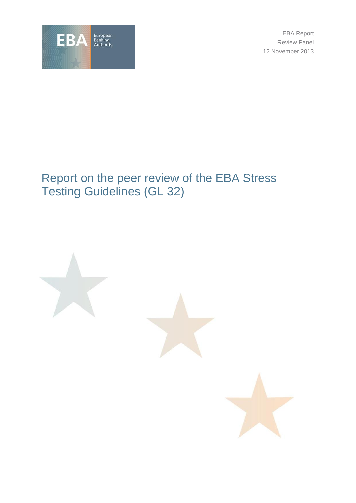

EBA Report Review Panel 12 November 2013

# Report on the peer review of the EBA Stress Testing Guidelines (GL 32)

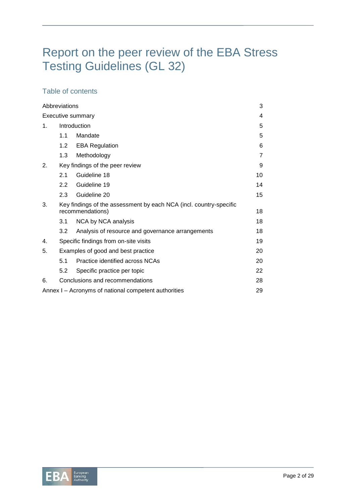# Report on the peer review of the EBA Stress Testing Guidelines (GL 32)

# Table of contents

| Abbreviations                                              |                                                                                        |                                                  |    |  |  |
|------------------------------------------------------------|----------------------------------------------------------------------------------------|--------------------------------------------------|----|--|--|
| <b>Executive summary</b>                                   |                                                                                        |                                                  |    |  |  |
| 1.                                                         | Introduction                                                                           |                                                  |    |  |  |
|                                                            | 1.1                                                                                    | Mandate                                          | 5  |  |  |
|                                                            | 1.2 <sub>1</sub>                                                                       | <b>EBA Regulation</b>                            | 6  |  |  |
|                                                            | 1.3                                                                                    | Methodology                                      | 7  |  |  |
| 2.                                                         | Key findings of the peer review                                                        |                                                  |    |  |  |
|                                                            | 2.1                                                                                    | Guideline 18                                     | 10 |  |  |
|                                                            | $2.2^{\circ}$                                                                          | Guideline 19                                     | 14 |  |  |
|                                                            | 2.3                                                                                    | Guideline 20                                     | 15 |  |  |
| 3.                                                         | Key findings of the assessment by each NCA (incl. country-specific<br>recommendations) |                                                  |    |  |  |
|                                                            | 3.1                                                                                    | NCA by NCA analysis                              | 18 |  |  |
|                                                            | 3.2                                                                                    | Analysis of resource and governance arrangements | 18 |  |  |
| 4.                                                         |                                                                                        | Specific findings from on-site visits<br>19      |    |  |  |
| 5.                                                         | Examples of good and best practice                                                     |                                                  |    |  |  |
|                                                            | 5.1                                                                                    | Practice identified across NCAs                  | 20 |  |  |
|                                                            | 5.2                                                                                    | Specific practice per topic                      | 22 |  |  |
| 6.                                                         | Conclusions and recommendations<br>28                                                  |                                                  |    |  |  |
| Annex I - Acronyms of national competent authorities<br>29 |                                                                                        |                                                  |    |  |  |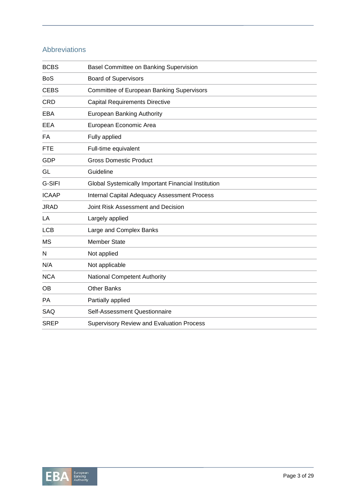# Abbreviations

| <b>BCBS</b>  | <b>Basel Committee on Banking Supervision</b>       |  |  |
|--------------|-----------------------------------------------------|--|--|
| <b>BoS</b>   | <b>Board of Supervisors</b>                         |  |  |
| <b>CEBS</b>  | <b>Committee of European Banking Supervisors</b>    |  |  |
| <b>CRD</b>   | <b>Capital Requirements Directive</b>               |  |  |
| <b>EBA</b>   | <b>European Banking Authority</b>                   |  |  |
| <b>EEA</b>   | European Economic Area                              |  |  |
| FA           | Fully applied                                       |  |  |
| <b>FTE</b>   | Full-time equivalent                                |  |  |
| <b>GDP</b>   | <b>Gross Domestic Product</b>                       |  |  |
| GL           | Guideline                                           |  |  |
| G-SIFI       | Global Systemically Important Financial Institution |  |  |
| <b>ICAAP</b> | <b>Internal Capital Adequacy Assessment Process</b> |  |  |
| <b>JRAD</b>  | Joint Risk Assessment and Decision                  |  |  |
| LA           | Largely applied                                     |  |  |
| <b>LCB</b>   | Large and Complex Banks                             |  |  |
| <b>MS</b>    | <b>Member State</b>                                 |  |  |
| N            | Not applied                                         |  |  |
| N/A          | Not applicable                                      |  |  |
| <b>NCA</b>   | <b>National Competent Authority</b>                 |  |  |
| <b>OB</b>    | <b>Other Banks</b>                                  |  |  |
| PA           | Partially applied                                   |  |  |
| SAQ          | Self-Assessment Questionnaire                       |  |  |
| <b>SREP</b>  | <b>Supervisory Review and Evaluation Process</b>    |  |  |

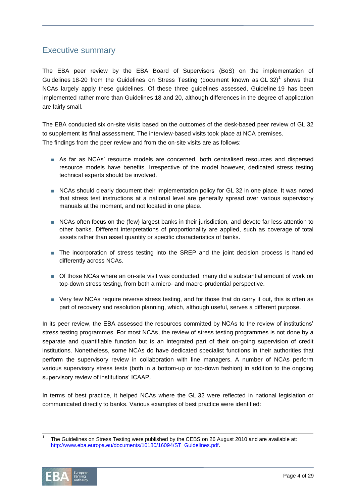# Executive summary

The EBA peer review by the EBA Board of Supervisors (BoS) on the implementation of Guidelines 18-20 from the Guidelines on Stress Testing (document known as GL 32)<sup>1</sup> shows that NCAs largely apply these guidelines. Of these three guidelines assessed, Guideline 19 has been implemented rather more than Guidelines 18 and 20, although differences in the degree of application are fairly small.

The EBA conducted six on-site visits based on the outcomes of the desk-based peer review of GL 32 to supplement its final assessment. The interview-based visits took place at NCA premises. The findings from the peer review and from the on-site visits are as follows:

- As far as NCAs' resource models are concerned, both centralised resources and dispersed resource models have benefits. Irrespective of the model however, dedicated stress testing technical experts should be involved.
- NCAs should clearly document their implementation policy for GL 32 in one place. It was noted that stress test instructions at a national level are generally spread over various supervisory manuals at the moment, and not located in one place.
- NCAs often focus on the (few) largest banks in their jurisdiction, and devote far less attention to other banks. Different interpretations of proportionality are applied, such as coverage of total assets rather than asset quantity or specific characteristics of banks.
- The incorporation of stress testing into the SREP and the joint decision process is handled differently across NCAs.
- Of those NCAs where an on-site visit was conducted, many did a substantial amount of work on top-down stress testing, from both a micro- and macro-prudential perspective.
- Very few NCAs require reverse stress testing, and for those that do carry it out, this is often as part of recovery and resolution planning, which, although useful, serves a different purpose.

In its peer review, the EBA assessed the resources committed by NCAs to the review of institutions' stress testing programmes. For most NCAs, the review of stress testing programmes is not done by a separate and quantifiable function but is an integrated part of their on-going supervision of credit institutions. Nonetheless, some NCAs do have dedicated specialist functions in their authorities that perform the supervisory review in collaboration with line managers. A number of NCAs perform various supervisory stress tests (both in a bottom-up or top-down fashion) in addition to the ongoing supervisory review of institutions' ICAAP.

In terms of best practice, it helped NCAs where the GL 32 were reflected in national legislation or communicated directly to banks. Various examples of best practice were identified:

<sup>1</sup> The Guidelines on Stress Testing were published by the CEBS on 26 August 2010 and are available at: [http://www.eba.europa.eu/documents/10180/16094/ST\\_Guidelines.pdf.](http://www.eba.europa.eu/documents/10180/16094/ST_Guidelines.pdf)



 $\overline{a}$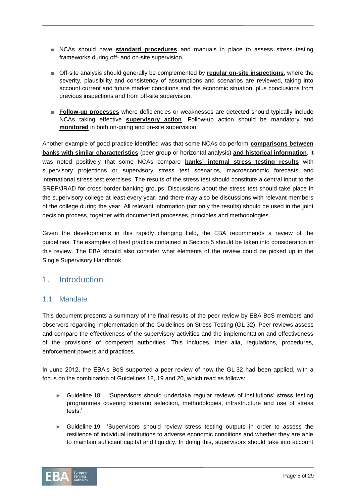- NCAs should have **standard procedures** and manuals in place to assess stress testing frameworks during off- and on-site supervision.
- Off-site analysis should generally be complemented by **regular on-site inspections**, where the severity, plausibility and consistency of assumptions and scenarios are reviewed, taking into account current and future market conditions and the economic situation, plus conclusions from previous inspections and from off-site supervision.
- **Follow-up processes** where deficiencies or weaknesses are detected should typically include NCAs taking effective **supervisory action**. Follow-up action should be mandatory and **monitored** in both on-going and on-site supervision.

Another example of good practice identified was that some NCAs do perform **comparisons between banks with similar characteristics** (peer group or horizontal analysis) **and historical information**. It was noted positively that some NCAs compare **banks' internal stress testing results** with supervisory projections or supervisory stress test scenarios, macroeconomic forecasts and international stress test exercises. The results of the stress test should constitute a central input to the SREP/JRAD for cross-border banking groups. Discussions about the stress test should take place in the supervisory college at least every year, and there may also be discussions with relevant members of the college during the year. All relevant information (not only the results) should be used in the joint decision process, together with documented processes, principles and methodologies.

Given the developments in this rapidly changing field, the EBA recommends a review of the guidelines. The examples of best practice contained in Section 5 should be taken into consideration in this review. The EBA should also consider what elements of the review could be picked up in the Single Supervisory Handbook.

# 1. Introduction

### 1.1 Mandate

This document presents a summary of the final results of the peer review by EBA BoS members and observers regarding implementation of the Guidelines on Stress Testing (GL 32). Peer reviews assess and compare the effectiveness of the supervisory activities and the implementation and effectiveness of the provisions of competent authorities. This includes, inter alia, regulations, procedures, enforcement powers and practices.

In June 2012, the EBA's BoS supported a peer review of how the GL 32 had been applied, with a focus on the combination of Guidelines 18, 19 and 20, which read as follows:

- ► Guideline 18: 'Supervisors should undertake regular reviews of institutions' stress testing programmes covering scenario selection, methodologies, infrastructure and use of stress tests.'
- ► Guideline 19: 'Supervisors should review stress testing outputs in order to assess the resilience of individual institutions to adverse economic conditions and whether they are able to maintain sufficient capital and liquidity. In doing this, supervisors should take into account

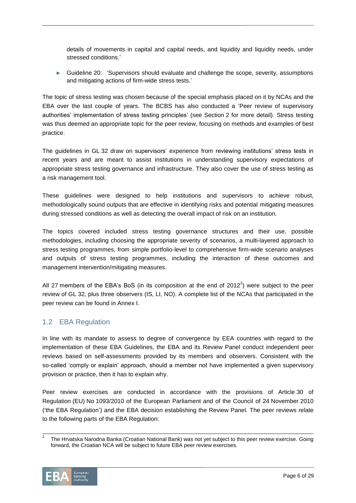details of movements in capital and capital needs, and liquidity and liquidity needs, under stressed conditions.'

► Guideline 20: 'Supervisors should evaluate and challenge the scope, severity, assumptions and mitigating actions of firm-wide stress tests.'

The topic of stress testing was chosen because of the special emphasis placed on it by NCAs and the EBA over the last couple of years. The BCBS has also conducted a 'Peer review of supervisory authorities' implementation of stress testing principles' (see Section 2 for more detail). Stress testing was thus deemed an appropriate topic for the peer review, focusing on methods and examples of best practice.

The guidelines in GL 32 draw on supervisors' experience from reviewing institutions' stress tests in recent years and are meant to assist institutions in understanding supervisory expectations of appropriate stress testing governance and infrastructure. They also cover the use of stress testing as a risk management tool.

These guidelines were designed to help institutions and supervisors to achieve robust, methodologically sound outputs that are effective in identifying risks and potential mitigating measures during stressed conditions as well as detecting the overall impact of risk on an institution.

The topics covered included stress testing governance structures and their use, possible methodologies, including choosing the appropriate severity of scenarios, a multi-layered approach to stress testing programmes, from simple portfolio-level to comprehensive firm-wide scenario analyses and outputs of stress testing programmes, including the interaction of these outcomes and management intervention/mitigating measures.

All 27 members of the EBA's BoS (in its composition at the end of 2012<sup>2</sup>) were subject to the peer review of GL 32, plus three observers (IS, LI, NO). A complete list of the NCAs that participated in the peer review can be found in Annex I.

# 1.2 EBA Regulation

In line with its mandate to assess to degree of convergence by EEA countries with regard to the implementation of these EBA Guidelines, the EBA and its Review Panel conduct independent peer reviews based on self-assessments provided by its members and observers. Consistent with the so-called 'comply or explain' approach, should a member not have implemented a given supervisory provision or practice, then it has to explain why.

Peer review exercises are conducted in accordance with the provisions of Article 30 of Regulation (EU) No 1093/2010 of the European Parliament and of the Council of 24 November 2010 ('the EBA Regulation') and the EBA decision establishing the Review Panel. The peer reviews relate to the following parts of the EBA Regulation:

<sup>2</sup> The Hrvatska Narodna Banka (Croatian National Bank) was not yet subject to this peer review exercise. Going forward, the Croatian NCA will be subject to future EBA peer review exercises.



 $\overline{a}$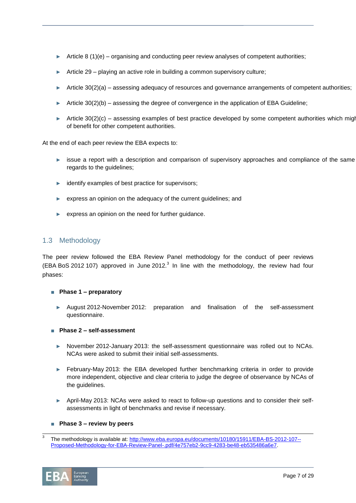- ► Article 8 (1)(e) organising and conducting peer review analyses of competent authorities;
- ► Article 29 playing an active role in building a common supervisory culture;
- ► Article 30(2)(a) assessing adequacy of resources and governance arrangements of competent authorities;
- ► Article  $30(2)(b)$  assessing the degree of convergence in the application of EBA Guideline;
- ► Article 30(2)(c) assessing examples of best practice developed by some competent authorities which might of benefit for other competent authorities.

At the end of each peer review the EBA expects to:

- issue a report with a description and comparison of supervisory approaches and compliance of the same regards to the guidelines;
- ► identify examples of best practice for supervisors;
- ► express an opinion on the adequacy of the current guidelines; and
- express an opinion on the need for further quidance.

## 1.3 Methodology

The peer review followed the EBA Review Panel methodology for the conduct of peer reviews (EBA BoS 2012 107) approved in June 2012.<sup>3</sup> In line with the methodology, the review had four phases:

- **Phase 1 – preparatory**
	- August 2012-November 2012: preparation and finalisation of the self-assessment questionnaire.
- **Phase 2 – self-assessment**
	- ► November 2012-January 2013: the self-assessment questionnaire was rolled out to NCAs. NCAs were asked to submit their initial self-assessments.
	- ► February-May 2013: the EBA developed further benchmarking criteria in order to provide more independent, objective and clear criteria to judge the degree of observance by NCAs of the guidelines.
	- ► April-May 2013: NCAs were asked to react to follow-up questions and to consider their selfassessments in light of benchmarks and revise if necessary.

#### ■ **Phase 3 – review by peers**

<sup>3</sup> The methodology is available at[: http://www.eba.europa.eu/documents/10180/15911/EBA-BS-2012-107--](http://www.eba.europa.eu/documents/10180/15911/EBA-BS-2012-107--Proposed-Methodology-for-EBA-Review-Panel-.pdf/4e757eb2-9cc9-4283-be48-eb535486a6e7) [Proposed-Methodology-for-EBA-Review-Panel-.pdf/4e757eb2-9cc9-4283-be48-eb535486a6e7.](http://www.eba.europa.eu/documents/10180/15911/EBA-BS-2012-107--Proposed-Methodology-for-EBA-Review-Panel-.pdf/4e757eb2-9cc9-4283-be48-eb535486a6e7)

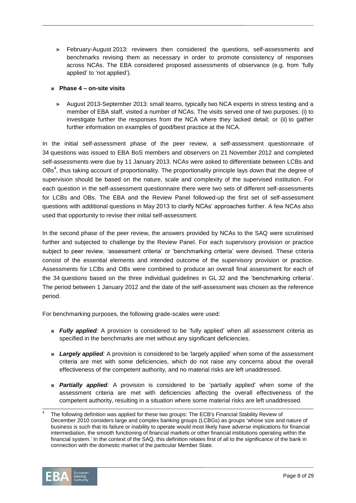- ► February-August 2013: reviewers then considered the questions, self-assessments and benchmarks revising them as necessary in order to promote consistency of responses across NCAs. The EBA considered proposed assessments of observance (e.g. from 'fully applied' to 'not applied').
- **Phase 4 – on-site visits**
	- ► August 2013-September 2013: small teams, typically two NCA experts in stress testing and a member of EBA staff, visited a number of NCAs. The visits served one of two purposes: (i) to investigate further the responses from the NCA where they lacked detail; or (ii) to gather further information on examples of good/best practice at the NCA.

In the initial self-assessment phase of the peer review, a self-assessment questionnaire of 34 questions was issued to EBA BoS members and observers on 21 November 2012 and completed self-assessments were due by 11 January 2013. NCAs were asked to differentiate between LCBs and OBs<sup>4</sup>, thus taking account of proportionality. The proportionality principle lays down that the degree of supervision should be based on the nature, scale and complexity of the supervised institution. For each question in the self-assessment questionnaire there were two sets of different self-assessments for LCBs and OBs. The EBA and the Review Panel followed-up the first set of self-assessment questions with additional questions in May 2013 to clarify NCAs' approaches further. A few NCAs also used that opportunity to revise their initial self-assessment.

In the second phase of the peer review, the answers provided by NCAs to the SAQ were scrutinised further and subjected to challenge by the Review Panel. For each supervisory provision or practice subject to peer review, 'assessment criteria' or 'benchmarking criteria' were devised. These criteria consist of the essential elements and intended outcome of the supervisory provision or practice. Assessments for LCBs and OBs were combined to produce an overall final assessment for each of the 34 questions based on the three individual guidelines in GL 32 and the 'benchmarking criteria'. The period between 1 January 2012 and the date of the self-assessment was chosen as the reference period.

For benchmarking purposes, the following grade-scales were used:

- **Fully applied**: A provision is considered to be 'fully applied' when all assessment criteria as specified in the benchmarks are met without any significant deficiencies.
- *Largely applied:* A provision is considered to be 'largely applied' when some of the assessment criteria are met with some deficiencies, which do not raise any concerns about the overall effectiveness of the competent authority, and no material risks are left unaddressed.
- *Partially applied:* A provision is considered to be 'partially applied' when some of the assessment criteria are met with deficiencies affecting the overall effectiveness of the competent authority, resulting in a situation where some material risks are left unaddressed.

<sup>4</sup> The following definition was applied for these two groups: The ECB's Financial Stability Review of December 2010 considers large and complex banking groups (LCBGs) as groups 'whose size and nature of business is such that its failure or inability to operate would most likely have adverse implications for financial intermediation, the smooth functioning of financial markets or other financial institutions operating within the financial system.' In the context of the SAQ, this definition relates first of all to the significance of the bank in connection with the domestic market of the particular Member State.

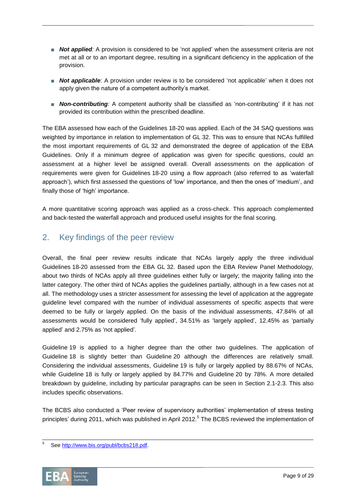- *Not applied:* A provision is considered to be 'not applied' when the assessment criteria are not met at all or to an important degree, resulting in a significant deficiency in the application of the provision.
- **Not applicable**: A provision under review is to be considered 'not applicable' when it does not apply given the nature of a competent authority's market.
- *Non-contributing:* A competent authority shall be classified as 'non-contributing' if it has not provided its contribution within the prescribed deadline.

The EBA assessed how each of the Guidelines 18-20 was applied. Each of the 34 SAQ questions was weighted by importance in relation to implementation of GL 32. This was to ensure that NCAs fulfilled the most important requirements of GL 32 and demonstrated the degree of application of the EBA Guidelines. Only if a minimum degree of application was given for specific questions, could an assessment at a higher level be assigned overall. Overall assessments on the application of requirements were given for Guidelines 18-20 using a flow approach (also referred to as 'waterfall approach'), which first assessed the questions of 'low' importance, and then the ones of 'medium', and finally those of 'high' importance.

A more quantitative scoring approach was applied as a cross-check. This approach complemented and back-tested the waterfall approach and produced useful insights for the final scoring.

# 2. Key findings of the peer review

Overall, the final peer review results indicate that NCAs largely apply the three individual Guidelines 18-20 assessed from the EBA GL 32. Based upon the EBA Review Panel Methodology, about two thirds of NCAs apply all three guidelines either fully or largely; the majority falling into the latter category. The other third of NCAs applies the guidelines partially, although in a few cases not at all. The methodology uses a stricter assessment for assessing the level of application at the aggregate guideline level compared with the number of individual assessments of specific aspects that were deemed to be fully or largely applied. On the basis of the individual assessments, 47.84% of all assessments would be considered 'fully applied', 34.51% as 'largely applied', 12.45% as 'partially applied' and 2.75% as 'not applied'.

Guideline 19 is applied to a higher degree than the other two guidelines. The application of Guideline 18 is slightly better than Guideline 20 although the differences are relatively small. Considering the individual assessments, Guideline 19 is fully or largely applied by 88.67% of NCAs, while Guideline 18 is fully or largely applied by 84.77% and Guideline 20 by 78%. A more detailed breakdown by guideline, including by particular paragraphs can be seen in Section 2.1-2.3. This also includes specific observations.

The BCBS also conducted a 'Peer review of supervisory authorities' implementation of stress testing principles' during 2011, which was published in April 2012.<sup>5</sup> The BCBS reviewed the implementation of

 5 Se[e http://www.bis.org/publ/bcbs218.pdf.](http://www.bis.org/publ/bcbs218.pdf)

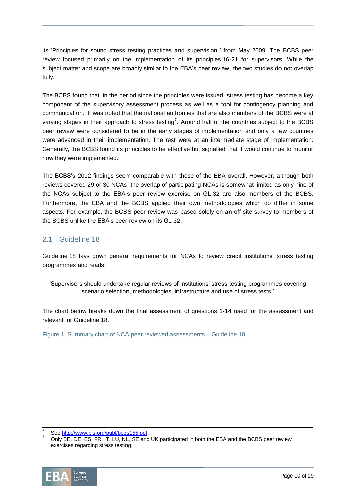its 'Principles for sound stress testing practices and supervision'<sup>6</sup> from May 2009. The BCBS peer review focused primarily on the implementation of its principles 16-21 for supervisors. While the subject matter and scope are broadly similar to the EBA's peer review, the two studies do not overlap fully.

The BCBS found that 'in the period since the principles were issued, stress testing has become a key component of the supervisory assessment process as well as a tool for contingency planning and communication.' It was noted that the national authorities that are also members of the BCBS were at varying stages in their approach to stress testing<sup>7</sup>. Around half of the countries subject to the BCBS peer review were considered to be in the early stages of implementation and only a few countries were advanced in their implementation. The rest were at an intermediate stage of implementation. Generally, the BCBS found its principles to be effective but signalled that it would continue to monitor how they were implemented.

The BCBS's 2012 findings seem comparable with those of the EBA overall. However, although both reviews covered 29 or 30 NCAs, the overlap of participating NCAs is somewhat limited as only nine of the NCAs subject to the EBA's peer review exercise on GL 32 are also members of the BCBS. Furthermore, the EBA and the BCBS applied their own methodologies which do differ in some aspects. For example, the BCBS peer review was based solely on an off-site survey to members of the BCBS unlike the EBA's peer review on its GL 32.

## 2.1 Guideline 18

Guideline 18 lays down general requirements for NCAs to review credit institutions' stress testing programmes and reads:

'Supervisors should undertake regular reviews of institutions' stress testing programmes covering scenario selection, methodologies, infrastructure and use of stress tests.'

The chart below breaks down the final assessment of questions 1-14 used for the assessment and relevant for Guideline 18.

Figure 1: Summary chart of NCA peer reviewed assessments – Guideline 18

<sup>7</sup> Only BE, DE, ES, FR, IT, LU, NL, SE and UK participated in both the EBA and the BCBS peer review exercises regarding stress testing.



<sup>6</sup> Se[e http://www.bis.org/publ/bcbs155.pdf.](http://www.bis.org/publ/bcbs155.pdf)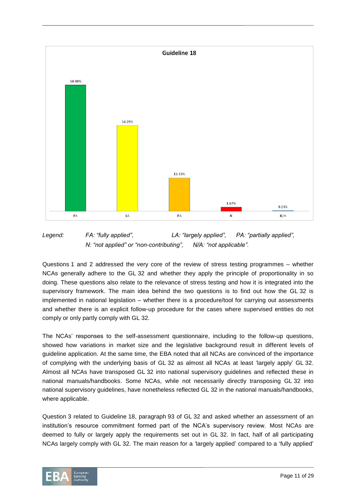

*Legend: FA: "fully applied", LA: "largely applied", PA: "partially applied", N: "not applied" or "non-contributing", N/A: "not applicable".*

Questions 1 and 2 addressed the very core of the review of stress testing programmes – whether NCAs generally adhere to the GL 32 and whether they apply the principle of proportionality in so doing. These questions also relate to the relevance of stress testing and how it is integrated into the supervisory framework. The main idea behind the two questions is to find out how the GL 32 is implemented in national legislation – whether there is a procedure/tool for carrying out assessments and whether there is an explicit follow-up procedure for the cases where supervised entities do not comply or only partly comply with GL 32.

The NCAs' responses to the self-assessment questionnaire, including to the follow-up questions, showed how variations in market size and the legislative background result in different levels of guideline application. At the same time, the EBA noted that all NCAs are convinced of the importance of complying with the underlying basis of GL 32 as almost all NCAs at least 'largely apply' GL 32. Almost all NCAs have transposed GL 32 into national supervisory guidelines and reflected these in national manuals/handbooks. Some NCAs, while not necessarily directly transposing GL 32 into national supervisory guidelines, have nonetheless reflected GL 32 in the national manuals/handbooks, where applicable.

Question 3 related to Guideline 18, paragraph 93 of GL 32 and asked whether an assessment of an institution's resource commitment formed part of the NCA's supervisory review. Most NCAs are deemed to fully or largely apply the requirements set out in GL 32. In fact, half of all participating NCAs largely comply with GL 32. The main reason for a 'largely applied' compared to a 'fully applied'

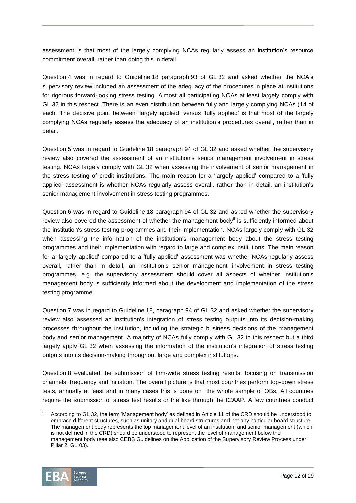assessment is that most of the largely complying NCAs regularly assess an institution's resource commitment overall, rather than doing this in detail.

Question 4 was in regard to Guideline 18 paragraph 93 of GL 32 and asked whether the NCA's supervisory review included an assessment of the adequacy of the procedures in place at institutions for rigorous forward-looking stress testing. Almost all participating NCAs at least largely comply with GL 32 in this respect. There is an even distribution between fully and largely complying NCAs (14 of each. The decisive point between 'largely applied' versus 'fully applied' is that most of the largely complying NCAs regularly assess the adequacy of an institution's procedures overall, rather than in detail.

Question 5 was in regard to Guideline 18 paragraph 94 of GL 32 and asked whether the supervisory review also covered the assessment of an institution's senior management involvement in stress testing. NCAs largely comply with GL 32 when assessing the involvement of senior management in the stress testing of credit institutions. The main reason for a 'largely applied' compared to a 'fully applied' assessment is whether NCAs regularly assess overall, rather than in detail, an institution's senior management involvement in stress testing programmes.

Question 6 was in regard to Guideline 18 paragraph 94 of GL 32 and asked whether the supervisory review also covered the assessment of whether the management body<sup>8</sup> is sufficiently informed about the institution's stress testing programmes and their implementation. NCAs largely comply with GL 32 when assessing the information of the institution's management body about the stress testing programmes and their implementation with regard to large and complex institutions. The main reason for a 'largely applied' compared to a 'fully applied' assessment was whether NCAs regularly assess overall, rather than in detail, an institution's senior management involvement in stress testing programmes, e.g. the supervisory assessment should cover all aspects of whether institution's management body is sufficiently informed about the development and implementation of the stress testing programme.

Question 7 was in regard to Guideline 18, paragraph 94 of GL 32 and asked whether the supervisory review also assessed an institution's integration of stress testing outputs into its decision-making processes throughout the institution, including the strategic business decisions of the management body and senior management. A majority of NCAs fully comply with GL 32 in this respect but a third largely apply GL 32 when assessing the information of the institution's integration of stress testing outputs into its decision-making throughout large and complex institutions.

Question 8 evaluated the submission of firm-wide stress testing results, focusing on transmission channels, frequency and initiation. The overall picture is that most countries perform top-down stress tests, annually at least and in many cases this is done on the whole sample of OBs. All countries require the submission of stress test results or the like through the ICAAP. A few countries conduct

<sup>8</sup> According to GL 32, the term 'Management body' as defined in Article 11 of the CRD should be understood to embrace different structures, such as unitary and dual board structures and not any particular board structure. The management body represents the top management level of an institution, and senior management (which is not defined in the CRD) should be understood to represent the level of management below the management body (see also CEBS Guidelines on the Application of the Supervisory Review Process under Pillar 2, GL 03).

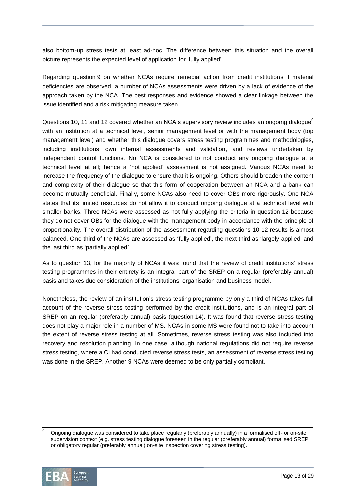also bottom-up stress tests at least ad-hoc. The difference between this situation and the overall picture represents the expected level of application for 'fully applied'.

Regarding question 9 on whether NCAs require remedial action from credit institutions if material deficiencies are observed, a number of NCAs assessments were driven by a lack of evidence of the approach taken by the NCA. The best responses and evidence showed a clear linkage between the issue identified and a risk mitigating measure taken.

Questions 10, 11 and 12 covered whether an NCA's supervisory review includes an ongoing dialogue<sup>9</sup> with an institution at a technical level, senior management level or with the management body (top management level) and whether this dialogue covers stress testing programmes and methodologies, including institutions' own internal assessments and validation, and reviews undertaken by independent control functions. No NCA is considered to not conduct any ongoing dialogue at a technical level at all; hence a 'not applied' assessment is not assigned. Various NCAs need to increase the frequency of the dialogue to ensure that it is ongoing. Others should broaden the content and complexity of their dialogue so that this form of cooperation between an NCA and a bank can become mutually beneficial. Finally, some NCAs also need to cover OBs more rigorously. One NCA states that its limited resources do not allow it to conduct ongoing dialogue at a technical level with smaller banks. Three NCAs were assessed as not fully applying the criteria in question 12 because they do not cover OBs for the dialogue with the management body in accordance with the principle of proportionality. The overall distribution of the assessment regarding questions 10-12 results is almost balanced. One-third of the NCAs are assessed as 'fully applied', the next third as 'largely applied' and the last third as 'partially applied'.

As to question 13, for the majority of NCAs it was found that the review of credit institutions' stress testing programmes in their entirety is an integral part of the SREP on a regular (preferably annual) basis and takes due consideration of the institutions' organisation and business model.

Nonetheless, the review of an institution's stress testing programme by only a third of NCAs takes full account of the reverse stress testing performed by the credit institutions, and is an integral part of SREP on an regular (preferably annual) basis (question 14). It was found that reverse stress testing does not play a major role in a number of MS. NCAs in some MS were found not to take into account the extent of reverse stress testing at all. Sometimes, reverse stress testing was also included into recovery and resolution planning. In one case, although national regulations did not require reverse stress testing, where a CI had conducted reverse stress tests, an assessment of reverse stress testing was done in the SREP. Another 9 NCAs were deemed to be only partially compliant.

<sup>9</sup> Ongoing dialogue was considered to take place regularly (preferably annually) in a formalised off- or on-site supervision context (e.g. stress testing dialogue foreseen in the regular (preferably annual) formalised SREP or obligatory regular (preferably annual) on-site inspection covering stress testing).

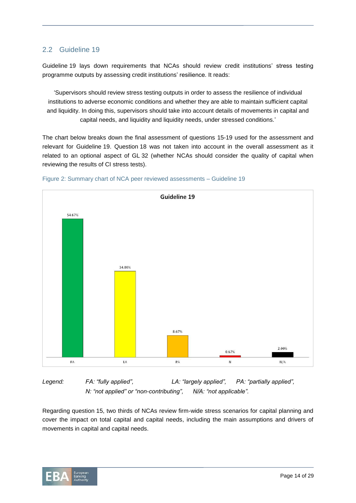# 2.2 Guideline 19

Guideline 19 lays down requirements that NCAs should review credit institutions' stress testing programme outputs by assessing credit institutions' resilience. It reads:

'Supervisors should review stress testing outputs in order to assess the resilience of individual institutions to adverse economic conditions and whether they are able to maintain sufficient capital and liquidity. In doing this, supervisors should take into account details of movements in capital and capital needs, and liquidity and liquidity needs, under stressed conditions.'

The chart below breaks down the final assessment of questions 15-19 used for the assessment and relevant for Guideline 19. Question 18 was not taken into account in the overall assessment as it related to an optional aspect of GL 32 (whether NCAs should consider the quality of capital when reviewing the results of CI stress tests).





*Legend: FA: "fully applied", LA: "largely applied", PA: "partially applied", N: "not applied" or "non-contributing", N/A: "not applicable".*

Regarding question 15, two thirds of NCAs review firm-wide stress scenarios for capital planning and cover the impact on total capital and capital needs, including the main assumptions and drivers of movements in capital and capital needs.

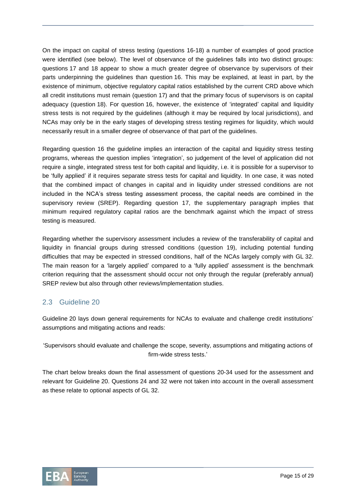On the impact on capital of stress testing (questions 16-18) a number of examples of good practice were identified (see below). The level of observance of the guidelines falls into two distinct groups: questions 17 and 18 appear to show a much greater degree of observance by supervisors of their parts underpinning the guidelines than question 16. This may be explained, at least in part, by the existence of minimum, objective regulatory capital ratios established by the current CRD above which all credit institutions must remain (question 17) and that the primary focus of supervisors is on capital adequacy (question 18). For question 16, however, the existence of 'integrated' capital and liquidity stress tests is not required by the guidelines (although it may be required by local jurisdictions), and NCAs may only be in the early stages of developing stress testing regimes for liquidity, which would necessarily result in a smaller degree of observance of that part of the guidelines.

Regarding question 16 the guideline implies an interaction of the capital and liquidity stress testing programs, whereas the question implies 'integration', so judgement of the level of application did not require a single, integrated stress test for both capital and liquidity, i.e. it is possible for a supervisor to be 'fully applied' if it requires separate stress tests for capital and liquidity. In one case, it was noted that the combined impact of changes in capital and in liquidity under stressed conditions are not included in the NCA's stress testing assessment process, the capital needs are combined in the supervisory review (SREP). Regarding question 17, the supplementary paragraph implies that minimum required regulatory capital ratios are the benchmark against which the impact of stress testing is measured.

Regarding whether the supervisory assessment includes a review of the transferability of capital and liquidity in financial groups during stressed conditions (question 19), including potential funding difficulties that may be expected in stressed conditions, half of the NCAs largely comply with GL 32. The main reason for a 'largely applied' compared to a 'fully applied' assessment is the benchmark criterion requiring that the assessment should occur not only through the regular (preferably annual) SREP review but also through other reviews/implementation studies.

# 2.3 Guideline 20

Guideline 20 lays down general requirements for NCAs to evaluate and challenge credit institutions' assumptions and mitigating actions and reads:

'Supervisors should evaluate and challenge the scope, severity, assumptions and mitigating actions of firm-wide stress tests.'

The chart below breaks down the final assessment of questions 20-34 used for the assessment and relevant for Guideline 20. Questions 24 and 32 were not taken into account in the overall assessment as these relate to optional aspects of GL 32.

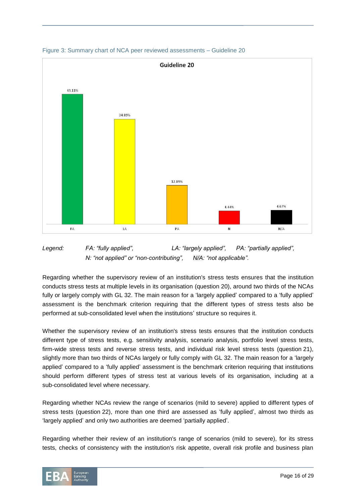

Figure 3: Summary chart of NCA peer reviewed assessments – Guideline 20



Regarding whether the supervisory review of an institution's stress tests ensures that the institution conducts stress tests at multiple levels in its organisation (question 20), around two thirds of the NCAs fully or largely comply with GL 32. The main reason for a 'largely applied' compared to a 'fully applied' assessment is the benchmark criterion requiring that the different types of stress tests also be performed at sub-consolidated level when the institutions' structure so requires it.

Whether the supervisory review of an institution's stress tests ensures that the institution conducts different type of stress tests, e.g. sensitivity analysis, scenario analysis, portfolio level stress tests, firm-wide stress tests and reverse stress tests, and individual risk level stress tests (question 21), slightly more than two thirds of NCAs largely or fully comply with GL 32. The main reason for a 'largely applied' compared to a 'fully applied' assessment is the benchmark criterion requiring that institutions should perform different types of stress test at various levels of its organisation, including at a sub-consolidated level where necessary.

Regarding whether NCAs review the range of scenarios (mild to severe) applied to different types of stress tests (question 22), more than one third are assessed as 'fully applied', almost two thirds as 'largely applied' and only two authorities are deemed 'partially applied'.

Regarding whether their review of an institution's range of scenarios (mild to severe), for its stress tests, checks of consistency with the institution's risk appetite, overall risk profile and business plan

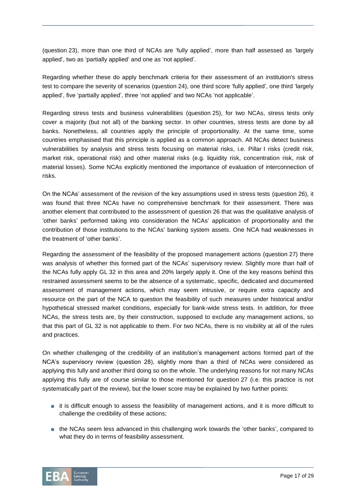(question 23), more than one third of NCAs are 'fully applied', more than half assessed as 'largely applied', two as 'partially applied' and one as 'not applied'.

Regarding whether these do apply benchmark criteria for their assessment of an institution's stress test to compare the severity of scenarios (question 24), one third score 'fully applied', one third 'largely applied', five 'partially applied', three 'not applied' and two NCAs 'not applicable'.

Regarding stress tests and business vulnerabilities (question 25), for two NCAs, stress tests only cover a majority (but not all) of the banking sector. In other countries, stress tests are done by all banks. Nonetheless, all countries apply the principle of proportionality. At the same time, some countries emphasised that this principle is applied as a common approach. All NCAs detect business vulnerabilities by analysis and stress tests focusing on material risks, i.e. Pillar I risks (credit risk, market risk, operational risk) and other material risks (e.g. liquidity risk, concentration risk, risk of material losses). Some NCAs explicitly mentioned the importance of evaluation of interconnection of risks.

On the NCAs' assessment of the revision of the key assumptions used in stress tests (question 26), it was found that three NCAs have no comprehensive benchmark for their assessment. There was another element that contributed to the assessment of question 26 that was the qualitative analysis of 'other banks' performed taking into consideration the NCAs' application of proportionality and the contribution of those institutions to the NCAs' banking system assets. One NCA had weaknesses in the treatment of 'other banks'.

Regarding the assessment of the feasibility of the proposed management actions (question 27) there was analysis of whether this formed part of the NCAs' supervisory review. Slightly more than half of the NCAs fully apply GL 32 in this area and 20% largely apply it. One of the key reasons behind this restrained assessment seems to be the absence of a systematic, specific, dedicated and documented assessment of management actions, which may seem intrusive, or require extra capacity and resource on the part of the NCA to question the feasibility of such measures under historical and/or hypothetical stressed market conditions, especially for bank-wide stress tests. In addition, for three NCAs, the stress tests are, by their construction, supposed to exclude any management actions, so that this part of GL 32 is not applicable to them. For two NCAs, there is no visibility at all of the rules and practices.

On whether challenging of the credibility of an institution's management actions formed part of the NCA's supervisory review (question 28), slightly more than a third of NCAs were considered as applying this fully and another third doing so on the whole. The underlying reasons for not many NCAs applying this fully are of course similar to those mentioned for question 27 (i.e. this practice is not systematically part of the review), but the lower score may be explained by two further points:

- it is difficult enough to assess the feasibility of management actions, and it is more difficult to challenge the credibility of these actions;
- the NCAs seem less advanced in this challenging work towards the 'other banks', compared to what they do in terms of feasibility assessment.

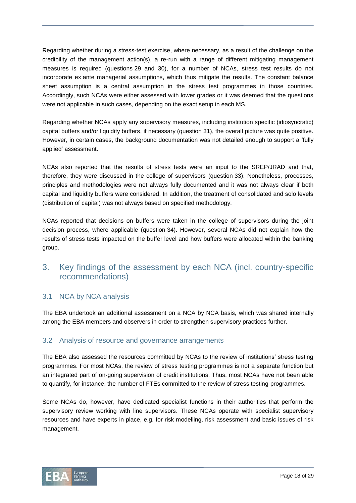Regarding whether during a stress-test exercise, where necessary, as a result of the challenge on the credibility of the management action(s), a re-run with a range of different mitigating management measures is required (questions 29 and 30), for a number of NCAs, stress test results do not incorporate ex ante managerial assumptions, which thus mitigate the results. The constant balance sheet assumption is a central assumption in the stress test programmes in those countries. Accordingly, such NCAs were either assessed with lower grades or it was deemed that the questions were not applicable in such cases, depending on the exact setup in each MS.

Regarding whether NCAs apply any supervisory measures, including institution specific (idiosyncratic) capital buffers and/or liquidity buffers, if necessary (question 31), the overall picture was quite positive. However, in certain cases, the background documentation was not detailed enough to support a 'fully applied' assessment.

NCAs also reported that the results of stress tests were an input to the SREP/JRAD and that, therefore, they were discussed in the college of supervisors (question 33). Nonetheless, processes, principles and methodologies were not always fully documented and it was not always clear if both capital and liquidity buffers were considered. In addition, the treatment of consolidated and solo levels (distribution of capital) was not always based on specified methodology.

NCAs reported that decisions on buffers were taken in the college of supervisors during the joint decision process, where applicable (question 34). However, several NCAs did not explain how the results of stress tests impacted on the buffer level and how buffers were allocated within the banking group.

# 3. Key findings of the assessment by each NCA (incl. country-specific recommendations)

# 3.1 NCA by NCA analysis

The EBA undertook an additional assessment on a NCA by NCA basis, which was shared internally among the EBA members and observers in order to strengthen supervisory practices further.

# 3.2 Analysis of resource and governance arrangements

The EBA also assessed the resources committed by NCAs to the review of institutions' stress testing programmes. For most NCAs, the review of stress testing programmes is not a separate function but an integrated part of on-going supervision of credit institutions. Thus, most NCAs have not been able to quantify, for instance, the number of FTEs committed to the review of stress testing programmes.

Some NCAs do, however, have dedicated specialist functions in their authorities that perform the supervisory review working with line supervisors. These NCAs operate with specialist supervisory resources and have experts in place, e.g. for risk modelling, risk assessment and basic issues of risk management.

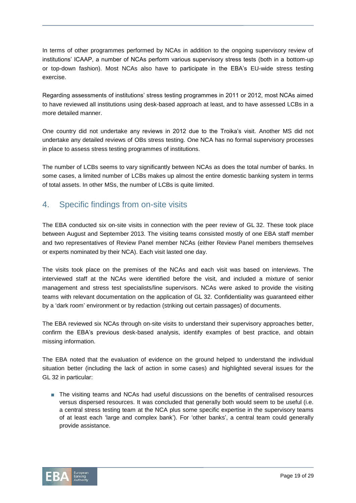In terms of other programmes performed by NCAs in addition to the ongoing supervisory review of institutions' ICAAP, a number of NCAs perform various supervisory stress tests (both in a bottom-up or top-down fashion). Most NCAs also have to participate in the EBA's EU-wide stress testing exercise.

Regarding assessments of institutions' stress testing programmes in 2011 or 2012, most NCAs aimed to have reviewed all institutions using desk-based approach at least, and to have assessed LCBs in a more detailed manner.

One country did not undertake any reviews in 2012 due to the Troika's visit. Another MS did not undertake any detailed reviews of OBs stress testing. One NCA has no formal supervisory processes in place to assess stress testing programmes of institutions.

The number of LCBs seems to vary significantly between NCAs as does the total number of banks. In some cases, a limited number of LCBs makes up almost the entire domestic banking system in terms of total assets. In other MSs, the number of LCBs is quite limited.

# 4. Specific findings from on-site visits

The EBA conducted six on-site visits in connection with the peer review of GL 32. These took place between August and September 2013. The visiting teams consisted mostly of one EBA staff member and two representatives of Review Panel member NCAs (either Review Panel members themselves or experts nominated by their NCA). Each visit lasted one day.

The visits took place on the premises of the NCAs and each visit was based on interviews. The interviewed staff at the NCAs were identified before the visit, and included a mixture of senior management and stress test specialists/line supervisors. NCAs were asked to provide the visiting teams with relevant documentation on the application of GL 32. Confidentiality was guaranteed either by a 'dark room' environment or by redaction (striking out certain passages) of documents.

The EBA reviewed six NCAs through on-site visits to understand their supervisory approaches better, confirm the EBA's previous desk-based analysis, identify examples of best practice, and obtain missing information.

The EBA noted that the evaluation of evidence on the ground helped to understand the individual situation better (including the lack of action in some cases) and highlighted several issues for the GL 32 in particular:

■ The visiting teams and NCAs had useful discussions on the benefits of centralised resources versus dispersed resources. It was concluded that generally both would seem to be useful (i.e. a central stress testing team at the NCA plus some specific expertise in the supervisory teams of at least each 'large and complex bank'). For 'other banks', a central team could generally provide assistance.

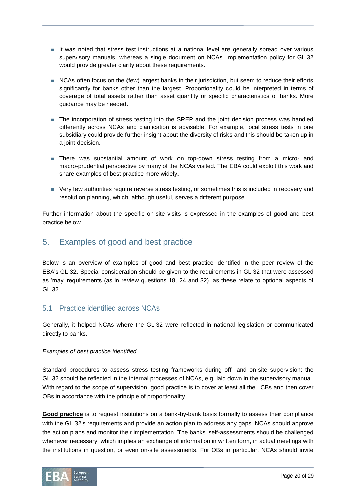- It was noted that stress test instructions at a national level are generally spread over various supervisory manuals, whereas a single document on NCAs' implementation policy for GL 32 would provide greater clarity about these requirements.
- NCAs often focus on the (few) largest banks in their jurisdiction, but seem to reduce their efforts significantly for banks other than the largest. Proportionality could be interpreted in terms of coverage of total assets rather than asset quantity or specific characteristics of banks. More guidance may be needed.
- The incorporation of stress testing into the SREP and the joint decision process was handled differently across NCAs and clarification is advisable. For example, local stress tests in one subsidiary could provide further insight about the diversity of risks and this should be taken up in a joint decision.
- There was substantial amount of work on top-down stress testing from a micro- and macro-prudential perspective by many of the NCAs visited. The EBA could exploit this work and share examples of best practice more widely.
- Very few authorities require reverse stress testing, or sometimes this is included in recovery and resolution planning, which, although useful, serves a different purpose.

Further information about the specific on-site visits is expressed in the examples of good and best practice below.

# 5. Examples of good and best practice

Below is an overview of examples of good and best practice identified in the peer review of the EBA's GL 32. Special consideration should be given to the requirements in GL 32 that were assessed as 'may' requirements (as in review questions 18, 24 and 32), as these relate to optional aspects of GL 32.

# 5.1 Practice identified across NCAs

Generally, it helped NCAs where the GL 32 were reflected in national legislation or communicated directly to banks.

#### *Examples of best practice identified*

Standard procedures to assess stress testing frameworks during off- and on-site supervision: the GL 32 should be reflected in the internal processes of NCAs, e.g. laid down in the supervisory manual. With regard to the scope of supervision, good practice is to cover at least all the LCBs and then cover OBs in accordance with the principle of proportionality.

**Good practice** is to request institutions on a bank-by-bank basis formally to assess their compliance with the GL 32's requirements and provide an action plan to address any gaps. NCAs should approve the action plans and monitor their implementation. The banks' self-assessments should be challenged whenever necessary, which implies an exchange of information in written form, in actual meetings with the institutions in question, or even on-site assessments. For OBs in particular, NCAs should invite

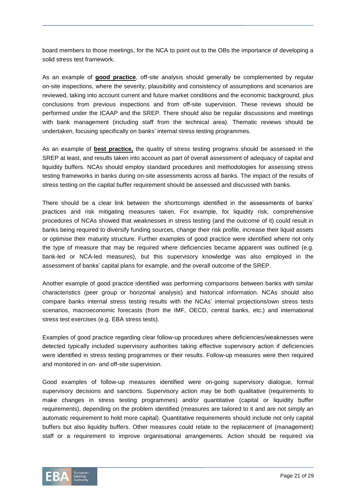board members to those meetings, for the NCA to point out to the OBs the importance of developing a solid stress test framework.

As an example of **good practice**, off-site analysis should generally be complemented by regular on-site inspections, where the severity, plausibility and consistency of assumptions and scenarios are reviewed, taking into account current and future market conditions and the economic background, plus conclusions from previous inspections and from off-site supervision. These reviews should be performed under the ICAAP and the SREP. There should also be regular discussions and meetings with bank management (including staff from the technical area). Thematic reviews should be undertaken, focusing specifically on banks' internal stress testing programmes.

As an example of **best practice,** the quality of stress testing programs should be assessed in the SREP at least, and results taken into account as part of overall assessment of adequacy of capital and liquidity buffers. NCAs should employ standard procedures and methodologies for assessing stress testing frameworks in banks during on-site assessments across all banks. The impact of the results of stress testing on the capital buffer requirement should be assessed and discussed with banks.

There should be a clear link between the shortcomings identified in the assessments of banks' practices and risk mitigating measures taken. For example, for liquidity risk, comprehensive procedures of NCAs showed that weaknesses in stress testing (and the outcome of it) could result in banks being required to diversify funding sources, change their risk profile, increase their liquid assets or optimise their maturity structure. Further examples of good practice were identified where not only the type of measure that may be required where deficiencies became apparent was outlined (e.g. bank-led or NCA-led measures), but this supervisory knowledge was also employed in the assessment of banks' capital plans for example, and the overall outcome of the SREP.

Another example of good practice identified was performing comparisons between banks with similar characteristics (peer group or horizontal analysis) and historical information. NCAs should also compare banks internal stress testing results with the NCAs' internal projections/own stress tests scenarios, macroeconomic forecasts (from the IMF, OECD, central banks, etc.) and international stress test exercises (e.g. EBA stress tests).

Examples of good practice regarding clear follow-up procedures where deficiencies/weaknesses were detected typically included supervisory authorities taking effective supervisory action if deficiencies were identified in stress testing programmes or their results. Follow-up measures were then required and monitored in on- and off-site supervision.

Good examples of follow-up measures identified were on-going supervisory dialogue, formal supervisory decisions and sanctions. Supervisory action may be both qualitative (requirements to make changes in stress testing programmes) and/or quantitative (capital or liquidity buffer requirements), depending on the problem identified (measures are tailored to it and are not simply an automatic requirement to hold more capital). Quantitative requirements should include not only capital buffers but also liquidity buffers. Other measures could relate to the replacement of (management) staff or a requirement to improve organisational arrangements. Action should be required via

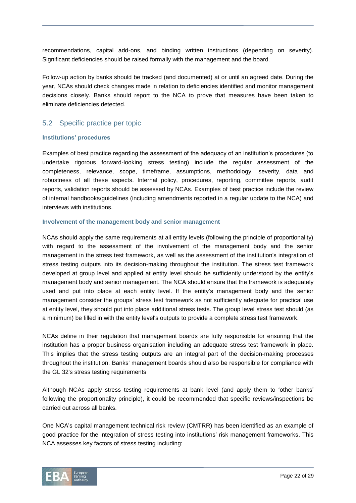recommendations, capital add-ons, and binding written instructions (depending on severity). Significant deficiencies should be raised formally with the management and the board.

Follow-up action by banks should be tracked (and documented) at or until an agreed date. During the year, NCAs should check changes made in relation to deficiencies identified and monitor management decisions closely. Banks should report to the NCA to prove that measures have been taken to eliminate deficiencies detected.

## 5.2 Specific practice per topic

#### **Institutions' procedures**

Examples of best practice regarding the assessment of the adequacy of an institution's procedures (to undertake rigorous forward-looking stress testing) include the regular assessment of the completeness, relevance, scope, timeframe, assumptions, methodology, severity, data and robustness of all these aspects. Internal policy, procedures, reporting, committee reports, audit reports, validation reports should be assessed by NCAs. Examples of best practice include the review of internal handbooks/guidelines (including amendments reported in a regular update to the NCA) and interviews with institutions.

#### **Involvement of the management body and senior management**

NCAs should apply the same requirements at all entity levels (following the principle of proportionality) with regard to the assessment of the involvement of the management body and the senior management in the stress test framework, as well as the assessment of the institution's integration of stress testing outputs into its decision-making throughout the institution. The stress test framework developed at group level and applied at entity level should be sufficiently understood by the entity's management body and senior management. The NCA should ensure that the framework is adequately used and put into place at each entity level. If the entity's management body and the senior management consider the groups' stress test framework as not sufficiently adequate for practical use at entity level, they should put into place additional stress tests. The group level stress test should (as a minimum) be filled in with the entity level's outputs to provide a complete stress test framework.

NCAs define in their regulation that management boards are fully responsible for ensuring that the institution has a proper business organisation including an adequate stress test framework in place. This implies that the stress testing outputs are an integral part of the decision-making processes throughout the institution. Banks' management boards should also be responsible for compliance with the GL 32's stress testing requirements

Although NCAs apply stress testing requirements at bank level (and apply them to 'other banks' following the proportionality principle), it could be recommended that specific reviews/inspections be carried out across all banks.

One NCA's capital management technical risk review (CMTRR) has been identified as an example of good practice for the integration of stress testing into institutions' risk management frameworks. This NCA assesses key factors of stress testing including:

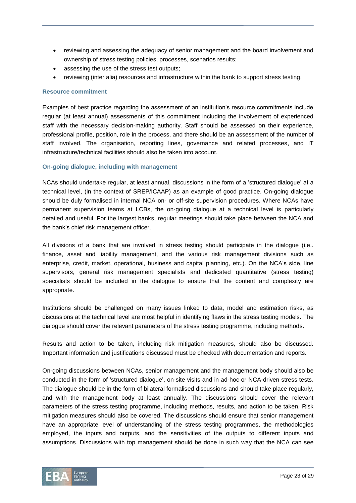- reviewing and assessing the adequacy of senior management and the board involvement and ownership of stress testing policies, processes, scenarios results;
- assessing the use of the stress test outputs;
- reviewing (inter alia) resources and infrastructure within the bank to support stress testing.

#### **Resource commitment**

Examples of best practice regarding the assessment of an institution's resource commitments include regular (at least annual) assessments of this commitment including the involvement of experienced staff with the necessary decision-making authority. Staff should be assessed on their experience, professional profile, position, role in the process, and there should be an assessment of the number of staff involved. The organisation, reporting lines, governance and related processes, and IT infrastructure/technical facilities should also be taken into account.

#### **On-going dialogue, including with management**

NCAs should undertake regular, at least annual, discussions in the form of a 'structured dialogue' at a technical level, (in the context of SREP/ICAAP) as an example of good practice. On-going dialogue should be duly formalised in internal NCA on- or off-site supervision procedures. Where NCAs have permanent supervision teams at LCBs, the on-going dialogue at a technical level is particularly detailed and useful. For the largest banks, regular meetings should take place between the NCA and the bank's chief risk management officer.

All divisions of a bank that are involved in stress testing should participate in the dialogue (i.e.. finance, asset and liability management, and the various risk management divisions such as enterprise, credit, market, operational, business and capital planning, etc.). On the NCA's side, line supervisors, general risk management specialists and dedicated quantitative (stress testing) specialists should be included in the dialogue to ensure that the content and complexity are appropriate.

Institutions should be challenged on many issues linked to data, model and estimation risks, as discussions at the technical level are most helpful in identifying flaws in the stress testing models. The dialogue should cover the relevant parameters of the stress testing programme, including methods.

Results and action to be taken, including risk mitigation measures, should also be discussed. Important information and justifications discussed must be checked with documentation and reports.

On-going discussions between NCAs, senior management and the management body should also be conducted in the form of 'structured dialogue', on-site visits and in ad-hoc or NCA-driven stress tests. The dialogue should be in the form of bilateral formalised discussions and should take place regularly, and with the management body at least annually. The discussions should cover the relevant parameters of the stress testing programme, including methods, results, and action to be taken. Risk mitigation measures should also be covered. The discussions should ensure that senior management have an appropriate level of understanding of the stress testing programmes, the methodologies employed, the inputs and outputs, and the sensitivities of the outputs to different inputs and assumptions. Discussions with top management should be done in such way that the NCA can see

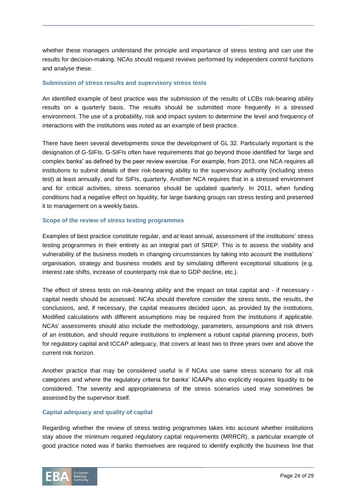whether these managers understand the principle and importance of stress testing and can use the results for decision-making. NCAs should request reviews performed by independent control functions and analyse these.

#### **Submission of stress results and supervisory stress tests**

An identified example of best practice was the submission of the results of LCBs risk-bearing ability results on a quarterly basis. The results should be submitted more frequently in a stressed environment. The use of a probability, risk and impact system to determine the level and frequency of interactions with the institutions was noted as an example of best practice.

There have been several developments since the development of GL 32. Particularly important is the designation of G-SIFIs. G-SIFIs often have requirements that go beyond those identified for 'large and complex banks' as defined by the peer review exercise. For example, from 2013, one NCA requires all institutions to submit details of their risk-bearing ability to the supervisory authority (including stress test) at least annually, and for SIFIs, quarterly. Another NCA requires that in a stressed environment and for critical activities, stress scenarios should be updated quarterly. In 2011, when funding conditions had a negative effect on liquidity, for large banking groups ran stress testing and presented it to management on a weekly basis.

#### **Scope of the review of stress testing programmes**

Examples of best practice constitute regular, and at least annual, assessment of the institutions' stress testing programmes in their entirety as an integral part of SREP. This is to assess the viability and vulnerability of the business models in changing circumstances by taking into account the institutions' organisation, strategy and business models and by simulating different exceptional situations (e.g. interest rate shifts, increase of counterparty risk due to GDP decline, etc.).

The effect of stress tests on risk-bearing ability and the impact on total capital and - if necessary capital needs should be assessed. NCAs should therefore consider the stress tests, the results, the conclusions, and, if necessary, the capital measures decided upon, as provided by the institutions. Modified calculations with different assumptions may be required from the institutions if applicable. NCAs' assessments should also include the methodology, parameters, assumptions and risk drivers of an institution, and should require institutions to implement a robust capital planning process, both for regulatory capital and ICCAP adequacy, that covers at least two to three years over and above the current risk horizon.

Another practice that may be considered useful is if NCAs use same stress scenario for all risk categories and where the regulatory criteria for banks' ICAAPs also explicitly requires liquidity to be considered. The severity and appropriateness of the stress scenarios used may sometimes be assessed by the supervisor itself.

#### **Capital adequacy and quality of capital**

Regarding whether the review of stress testing programmes takes into account whether institutions stay above the minimum required regulatory capital requirements (MRRCR), a particular example of good practice noted was if banks themselves are required to identify explicitly the business line that

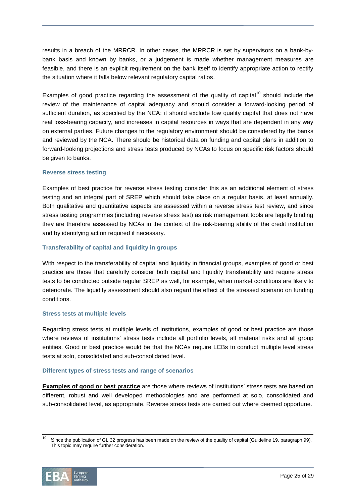results in a breach of the MRRCR. In other cases, the MRRCR is set by supervisors on a bank-bybank basis and known by banks, or a judgement is made whether management measures are feasible, and there is an explicit requirement on the bank itself to identify appropriate action to rectify the situation where it falls below relevant regulatory capital ratios.

Examples of good practice regarding the assessment of the quality of capital<sup>10</sup> should include the review of the maintenance of capital adequacy and should consider a forward-looking period of sufficient duration, as specified by the NCA; it should exclude low quality capital that does not have real loss-bearing capacity, and increases in capital resources in ways that are dependent in any way on external parties. Future changes to the regulatory environment should be considered by the banks and reviewed by the NCA. There should be historical data on funding and capital plans in addition to forward-looking projections and stress tests produced by NCAs to focus on specific risk factors should be given to banks.

#### **Reverse stress testing**

Examples of best practice for reverse stress testing consider this as an additional element of stress testing and an integral part of SREP which should take place on a regular basis, at least annually. Both qualitative and quantitative aspects are assessed within a reverse stress test review, and since stress testing programmes (including reverse stress test) as risk management tools are legally binding they are therefore assessed by NCAs in the context of the risk-bearing ability of the credit institution and by identifying action required if necessary.

#### **Transferability of capital and liquidity in groups**

With respect to the transferability of capital and liquidity in financial groups, examples of good or best practice are those that carefully consider both capital and liquidity transferability and require stress tests to be conducted outside regular SREP as well, for example, when market conditions are likely to deteriorate. The liquidity assessment should also regard the effect of the stressed scenario on funding conditions.

#### **Stress tests at multiple levels**

Regarding stress tests at multiple levels of institutions, examples of good or best practice are those where reviews of institutions' stress tests include all portfolio levels, all material risks and all group entities. Good or best practice would be that the NCAs require LCBs to conduct multiple level stress tests at solo, consolidated and sub-consolidated level.

#### **Different types of stress tests and range of scenarios**

**Examples of good or best practice** are those where reviews of institutions' stress tests are based on different, robust and well developed methodologies and are performed at solo, consolidated and sub-consolidated level, as appropriate. Reverse stress tests are carried out where deemed opportune.

 $10$ Since the publication of GL 32 progress has been made on the review of the quality of capital (Guideline 19, paragraph 99). This topic may require further consideration.

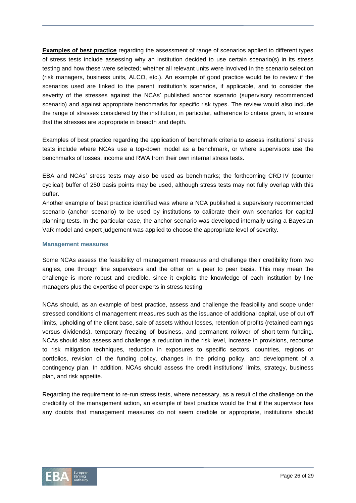**Examples of best practice** regarding the assessment of range of scenarios applied to different types of stress tests include assessing why an institution decided to use certain scenario(s) in its stress testing and how these were selected; whether all relevant units were involved in the scenario selection (risk managers, business units, ALCO, etc.). An example of good practice would be to review if the scenarios used are linked to the parent institution's scenarios, if applicable, and to consider the severity of the stresses against the NCAs' published anchor scenario (supervisory recommended scenario) and against appropriate benchmarks for specific risk types. The review would also include the range of stresses considered by the institution, in particular, adherence to criteria given, to ensure that the stresses are appropriate in breadth and depth.

Examples of best practice regarding the application of benchmark criteria to assess institutions' stress tests include where NCAs use a top-down model as a benchmark, or where supervisors use the benchmarks of losses, income and RWA from their own internal stress tests.

EBA and NCAs' stress tests may also be used as benchmarks; the forthcoming CRD IV (counter cyclical) buffer of 250 basis points may be used, although stress tests may not fully overlap with this buffer.

Another example of best practice identified was where a NCA published a supervisory recommended scenario (anchor scenario) to be used by institutions to calibrate their own scenarios for capital planning tests. In the particular case, the anchor scenario was developed internally using a Bayesian VaR model and expert judgement was applied to choose the appropriate level of severity.

#### **Management measures**

Some NCAs assess the feasibility of management measures and challenge their credibility from two angles, one through line supervisors and the other on a peer to peer basis. This may mean the challenge is more robust and credible, since it exploits the knowledge of each institution by line managers plus the expertise of peer experts in stress testing.

NCAs should, as an example of best practice, assess and challenge the feasibility and scope under stressed conditions of management measures such as the issuance of additional capital, use of cut off limits, upholding of the client base, sale of assets without losses, retention of profits (retained earnings versus dividends), temporary freezing of business, and permanent rollover of short-term funding. NCAs should also assess and challenge a reduction in the risk level, increase in provisions, recourse to risk mitigation techniques, reduction in exposures to specific sectors, countries, regions or portfolios, revision of the funding policy, changes in the pricing policy, and development of a contingency plan. In addition, NCAs should assess the credit institutions' limits, strategy, business plan, and risk appetite.

Regarding the requirement to re-run stress tests, where necessary, as a result of the challenge on the credibility of the management action, an example of best practice would be that if the supervisor has any doubts that management measures do not seem credible or appropriate, institutions should

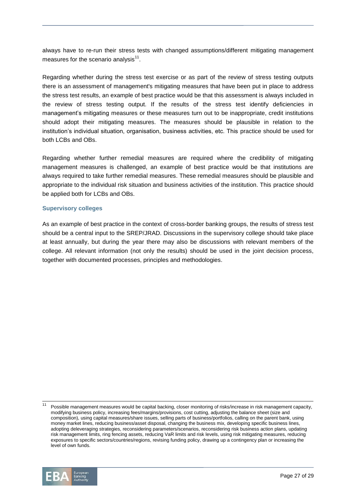always have to re-run their stress tests with changed assumptions/different mitigating management measures for the scenario analysis $^{11}$ .

Regarding whether during the stress test exercise or as part of the review of stress testing outputs there is an assessment of management's mitigating measures that have been put in place to address the stress test results, an example of best practice would be that this assessment is always included in the review of stress testing output. If the results of the stress test identify deficiencies in management's mitigating measures or these measures turn out to be inappropriate, credit institutions should adopt their mitigating measures. The measures should be plausible in relation to the institution's individual situation, organisation, business activities, etc. This practice should be used for both LCBs and OBs.

Regarding whether further remedial measures are required where the credibility of mitigating management measures is challenged, an example of best practice would be that institutions are always required to take further remedial measures. These remedial measures should be plausible and appropriate to the individual risk situation and business activities of the institution. This practice should be applied both for LCBs and OBs.

#### **Supervisory colleges**

As an example of best practice in the context of cross-border banking groups, the results of stress test should be a central input to the SREP/JRAD. Discussions in the supervisory college should take place at least annually, but during the year there may also be discussions with relevant members of the college. All relevant information (not only the results) should be used in the joint decision process, together with documented processes, principles and methodologies.

Possible management measures would be capital backing, closer monitoring of risks/increase in risk management capacity, modifying business policy, increasing fees/margins/provisions, cost cutting, adjusting the balance sheet (size and composition), using capital measures/share issues, selling parts of business/portfolios, calling on the parent bank, using money market lines, reducing business/asset disposal, changing the business mix, developing specific business lines, adopting deleveraging strategies, reconsidering parameters/scenarios, reconsidering risk business action plans, updating risk management limits, ring fencing assets, reducing VaR limits and risk levels, using risk mitigating measures, reducing exposures to specific sectors/countries/regions, revising funding policy, drawing up a contingency plan or increasing the level of own funds.

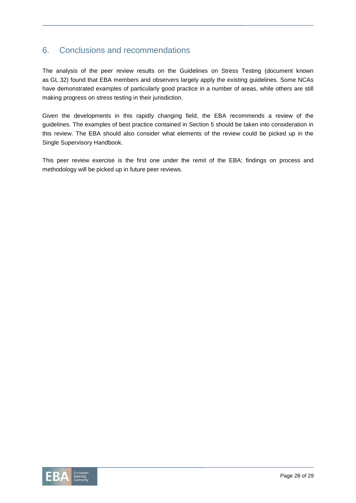# 6. Conclusions and recommendations

The analysis of the peer review results on the Guidelines on Stress Testing (document known as GL 32) found that EBA members and observers largely apply the existing guidelines. Some NCAs have demonstrated examples of particularly good practice in a number of areas, while others are still making progress on stress testing in their jurisdiction.

Given the developments in this rapidly changing field, the EBA recommends a review of the guidelines. The examples of best practice contained in Section 5 should be taken into consideration in this review. The EBA should also consider what elements of the review could be picked up in the Single Supervisory Handbook.

This peer review exercise is the first one under the remit of the EBA; findings on process and methodology will be picked up in future peer reviews.